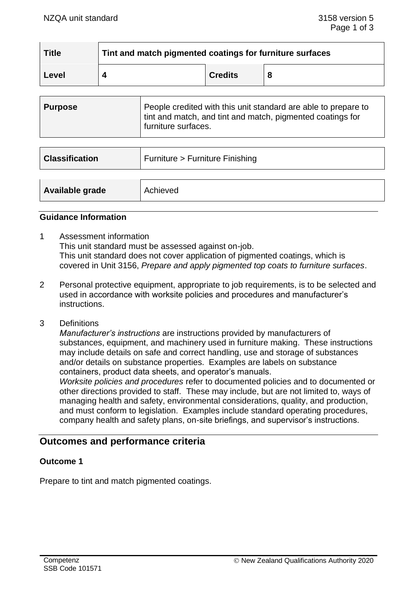| <b>Title</b> | Tint and match pigmented coatings for furniture surfaces |                |  |
|--------------|----------------------------------------------------------|----------------|--|
| Level        |                                                          | <b>Credits</b> |  |

| Purpose | People credited with this unit standard are able to prepare to<br>tint and match, and tint and match, pigmented coatings for |
|---------|------------------------------------------------------------------------------------------------------------------------------|
|         | <sup>1</sup> furniture surfaces.                                                                                             |

| <b>Classification</b> | Furniture > Furniture Finishing |
|-----------------------|---------------------------------|
| Available grade       | Achieved                        |

#### **Guidance Information**

- 1 Assessment information This unit standard must be assessed against on-job. This unit standard does not cover application of pigmented coatings, which is covered in Unit 3156, *Prepare and apply pigmented top coats to furniture surfaces*.
- 2 Personal protective equipment, appropriate to job requirements, is to be selected and used in accordance with worksite policies and procedures and manufacturer's instructions.
- 3 Definitions

*Manufacturer's instructions* are instructions provided by manufacturers of substances, equipment, and machinery used in furniture making. These instructions may include details on safe and correct handling, use and storage of substances and/or details on substance properties. Examples are labels on substance containers, product data sheets, and operator's manuals.

*Worksite policies and procedures* refer to documented policies and to documented or other directions provided to staff. These may include, but are not limited to, ways of managing health and safety, environmental considerations, quality, and production, and must conform to legislation. Examples include standard operating procedures, company health and safety plans, on-site briefings, and supervisor's instructions.

# **Outcomes and performance criteria**

### **Outcome 1**

Prepare to tint and match pigmented coatings.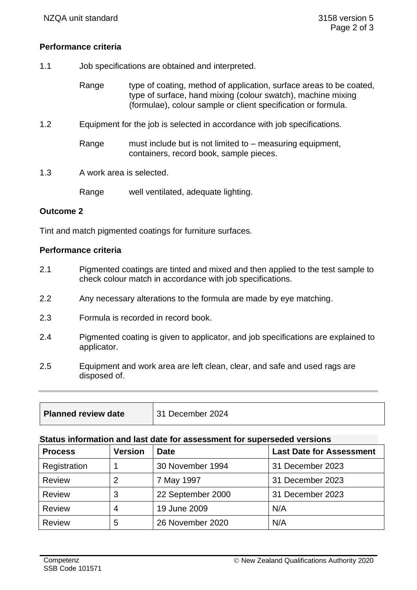# **Performance criteria**

- 1.1 Job specifications are obtained and interpreted.
	- Range type of coating, method of application, surface areas to be coated, type of surface, hand mixing (colour swatch), machine mixing (formulae), colour sample or client specification or formula.
- 1.2 Equipment for the job is selected in accordance with job specifications.
	- Range must include but is not limited to measuring equipment, containers, record book, sample pieces.
- 1.3 A work area is selected.

Range well ventilated, adequate lighting.

### **Outcome 2**

Tint and match pigmented coatings for furniture surfaces.

### **Performance criteria**

- 2.1 Pigmented coatings are tinted and mixed and then applied to the test sample to check colour match in accordance with job specifications.
- 2.2 Any necessary alterations to the formula are made by eye matching.
- 2.3 Formula is recorded in record book.
- 2.4 Pigmented coating is given to applicator, and job specifications are explained to applicator.
- 2.5 Equipment and work area are left clean, clear, and safe and used rags are disposed of.

| Planned review date | $\vert$ 31 December 2024 |
|---------------------|--------------------------|
|                     |                          |

#### **Status information and last date for assessment for superseded versions**

| <b>Process</b> | <b>Version</b> | <b>Date</b>       | <b>Last Date for Assessment</b> |
|----------------|----------------|-------------------|---------------------------------|
| Registration   |                | 30 November 1994  | 31 December 2023                |
| <b>Review</b>  | $\overline{2}$ | 7 May 1997        | 31 December 2023                |
| <b>Review</b>  | 3              | 22 September 2000 | 31 December 2023                |
| <b>Review</b>  | $\overline{4}$ | 19 June 2009      | N/A                             |
| <b>Review</b>  | 5              | 26 November 2020  | N/A                             |